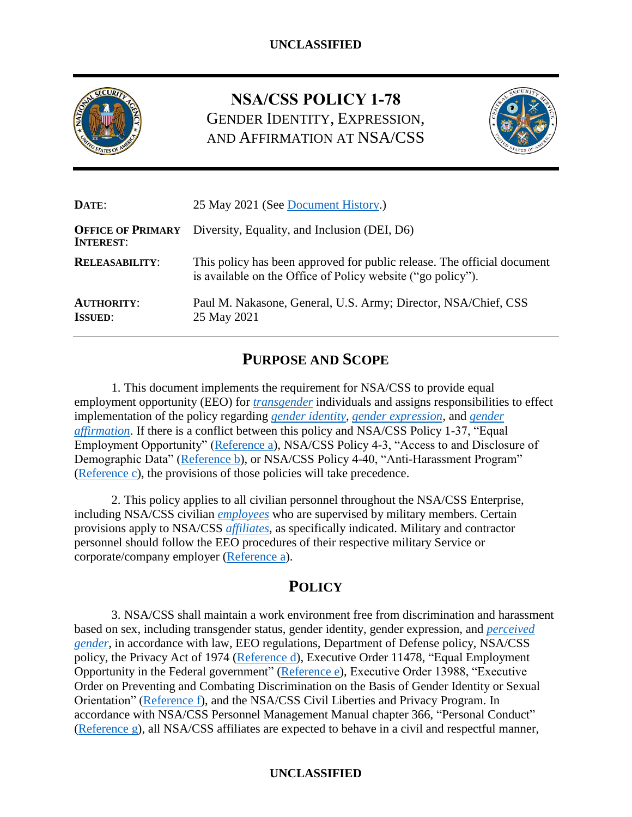

# **NSA/CSS POLICY 1-78** GENDER IDENTITY, EXPRESSION, AND AFFIRMATION AT NSA/CSS



| DATE:                                        | 25 May 2021 (See Document History.)                                                                                                    |  |
|----------------------------------------------|----------------------------------------------------------------------------------------------------------------------------------------|--|
| <b>OFFICE OF PRIMARY</b><br><b>INTEREST:</b> | Diversity, Equality, and Inclusion (DEI, D6)                                                                                           |  |
| <b>RELEASABILITY:</b>                        | This policy has been approved for public release. The official document<br>is available on the Office of Policy website ("go policy"). |  |
| <b>AUTHORITY:</b><br><b>ISSUED:</b>          | Paul M. Nakasone, General, U.S. Army; Director, NSA/Chief, CSS<br>25 May 2021                                                          |  |

# **PURPOSE AND SCOPE**

1. This document implements the requirement for NSA/CSS to provide equal employment opportunity (EEO) for *[transgender](#page-7-1)* individuals and assigns responsibilities to effect implementation of the policy regarding *gender [identity](#page-6-0)*, *[gender expression](#page-6-1)*, and *gender affirmation*. If there is a conflict between this policy and NSA/CSS Policy 1-37, "Equal Employment Opportunity" [\(Reference a\)](#page-5-0), NSA/CSS Policy 4-3, "Access to and Disclosure of Demographic Data" [\(Reference b\)](#page-5-1), or NSA/CSS Policy 4-40, "Anti-Harassment Program" [\(Reference c\)](#page-5-2), the provisions of those policies will take precedence.

2. This policy applies to all civilian personnel throughout the NSA/CSS Enterprise, including NSA/CSS civilian *[employees](#page-6-2)* who are supervised by military members. Certain provisions apply to NSA/CSS *[affiliates](#page-6-3)*, as specifically indicated. Military and contractor personnel should follow the EEO procedures of their respective military Service or corporate/company employer [\(Reference a\)](#page-5-0).

# **POLICY**

3. NSA/CSS shall maintain a work environment free from discrimination and harassment based on sex, including transgender status, gender identity, gender expression, and *[perceived](#page-7-2)  [gender](#page-7-2)*, in accordance with law, EEO regulations, Department of Defense policy, NSA/CSS policy, the Privacy Act of 1974 [\(Reference d\)](#page-5-3), Executive Order 11478, "Equal Employment Opportunity in the Federal government" [\(Reference e\)](#page-5-4), Executive Order 13988, "Executive Order on Preventing and Combating Discrimination on the Basis of Gender Identity or Sexual Orientation" [\(Reference f\)](#page-6-4), and the NSA/CSS Civil Liberties and Privacy Program. In accordance with NSA/CSS Personnel Management Manual chapter 366, "Personal Conduct" [\(Reference g\)](#page-6-5), all NSA/CSS affiliates are expected to behave in a civil and respectful manner,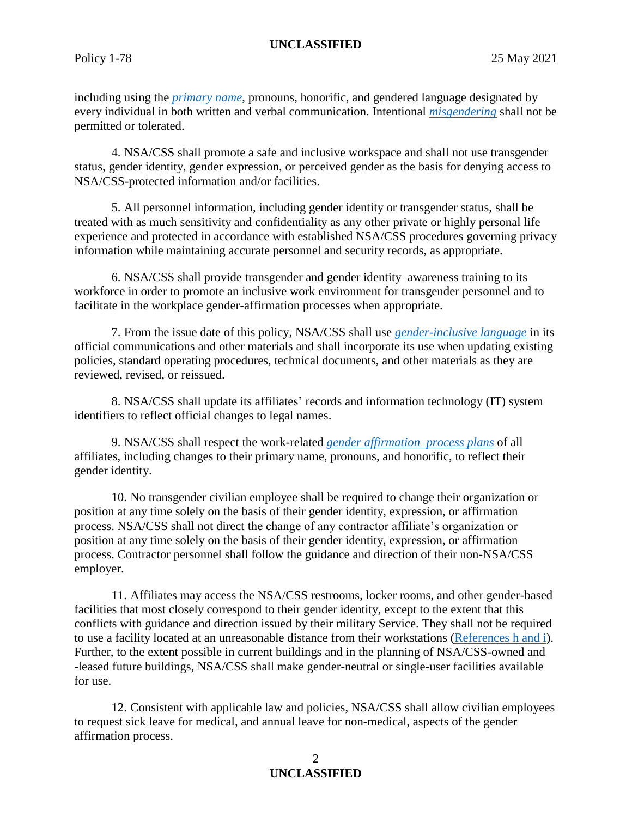including using the *[primary name](#page-7-3)*, pronouns, honorific, and gendered language designated by every individual in both written and verbal communication. Intentional *[misgendering](#page-7-4)* shall not be permitted or tolerated.

4. NSA/CSS shall promote a safe and inclusive workspace and shall not use transgender status, gender identity, gender expression, or perceived gender as the basis for denying access to NSA/CSS-protected information and/or facilities.

5. All personnel information, including gender identity or transgender status, shall be treated with as much sensitivity and confidentiality as any other private or highly personal life experience and protected in accordance with established NSA/CSS procedures governing privacy information while maintaining accurate personnel and security records, as appropriate.

6. NSA/CSS shall provide transgender and gender identity–awareness training to its workforce in order to promote an inclusive work environment for transgender personnel and to facilitate in the workplace gender-affirmation processes when appropriate.

7. From the issue date of this policy, NSA/CSS shall use *[gender-inclusive language](#page-6-6)* in its official communications and other materials and shall incorporate its use when updating existing policies, standard operating procedures, technical documents, and other materials as they are reviewed, revised, or reissued.

8. NSA/CSS shall update its affiliates' records and information technology (IT) system identifiers to reflect official changes to legal names.

9. NSA/CSS shall respect the work-related *gender affirmation–process plans* of all affiliates, including changes to their primary name, pronouns, and honorific, to reflect their gender identity.

10. No transgender civilian employee shall be required to change their organization or position at any time solely on the basis of their gender identity, expression, or affirmation process. NSA/CSS shall not direct the change of any contractor affiliate's organization or position at any time solely on the basis of their gender identity, expression, or affirmation process. Contractor personnel shall follow the guidance and direction of their non-NSA/CSS employer.

11. Affiliates may access the NSA/CSS restrooms, locker rooms, and other gender-based facilities that most closely correspond to their gender identity, except to the extent that this conflicts with guidance and direction issued by their military Service. They shall not be required to use a facility located at an unreasonable distance from their workstations [\(References h](#page-6-7) and i). Further, to the extent possible in current buildings and in the planning of NSA/CSS-owned and -leased future buildings, NSA/CSS shall make gender-neutral or single-user facilities available for use.

12. Consistent with applicable law and policies, NSA/CSS shall allow civilian employees to request sick leave for medical, and annual leave for non-medical, aspects of the gender affirmation process.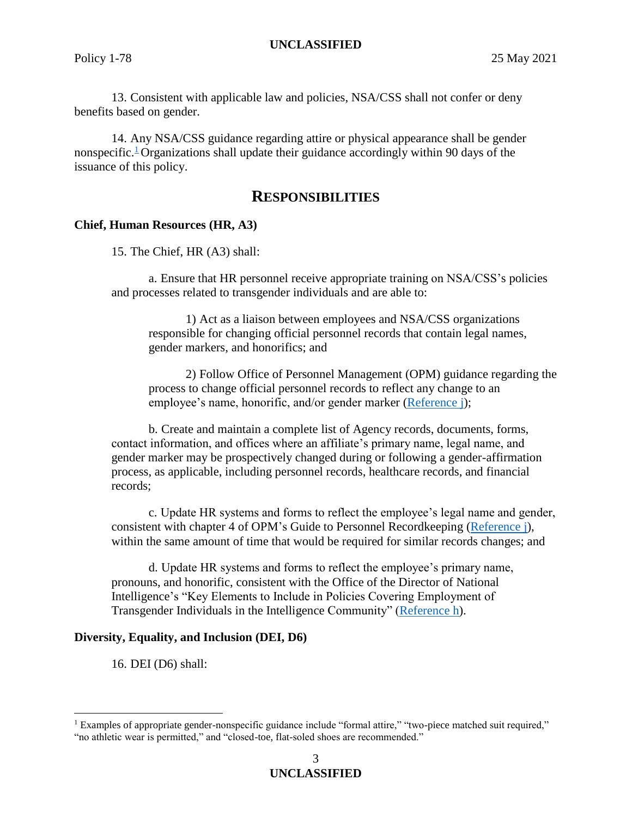13. Consistent with applicable law and policies, NSA/CSS shall not confer or deny benefits based on gender.

14. Any NSA/CSS guidance regarding attire or physical appearance shall be gender nonspecific.<sup>[1](#page-2-0)</sup> Organizations shall update their guidance accordingly within 90 days of the issuance of this policy.

## **RESPONSIBILITIES**

### **Chief, Human Resources (HR, A3)**

15. The Chief, HR (A3) shall:

a. Ensure that HR personnel receive appropriate training on NSA/CSS's policies and processes related to transgender individuals and are able to:

1) Act as a liaison between employees and NSA/CSS organizations responsible for changing official personnel records that contain legal names, gender markers, and honorifics; and

2) Follow Office of Personnel Management (OPM) guidance regarding the process to change official personnel records to reflect any change to an employee's name, honorific, and/or gender marker [\(Reference j\)](#page-6-8);

b. Create and maintain a complete list of Agency records, documents, forms, contact information, and offices where an affiliate's primary name, legal name, and gender marker may be prospectively changed during or following a gender-affirmation process, as applicable, including personnel records, healthcare records, and financial records;

c. Update HR systems and forms to reflect the employee's legal name and gender, consistent with chapter 4 of OPM's Guide to Personnel Recordkeeping [\(Reference j\)](#page-6-8), within the same amount of time that would be required for similar records changes; and

d. Update HR systems and forms to reflect the employee's primary name, pronouns, and honorific, consistent with the Office of the Director of National Intelligence's "Key Elements to Include in Policies Covering Employment of Transgender Individuals in the Intelligence Community" [\(Reference h\)](#page-6-7).

#### **Diversity, Equality, and Inclusion (DEI, D6)**

16. DEI (D6) shall:

 $\overline{a}$ 

<span id="page-2-0"></span><sup>&</sup>lt;sup>1</sup> Examples of appropriate gender-nonspecific guidance include "formal attire," "two-piece matched suit required," "no athletic wear is permitted," and "closed-toe, flat-soled shoes are recommended."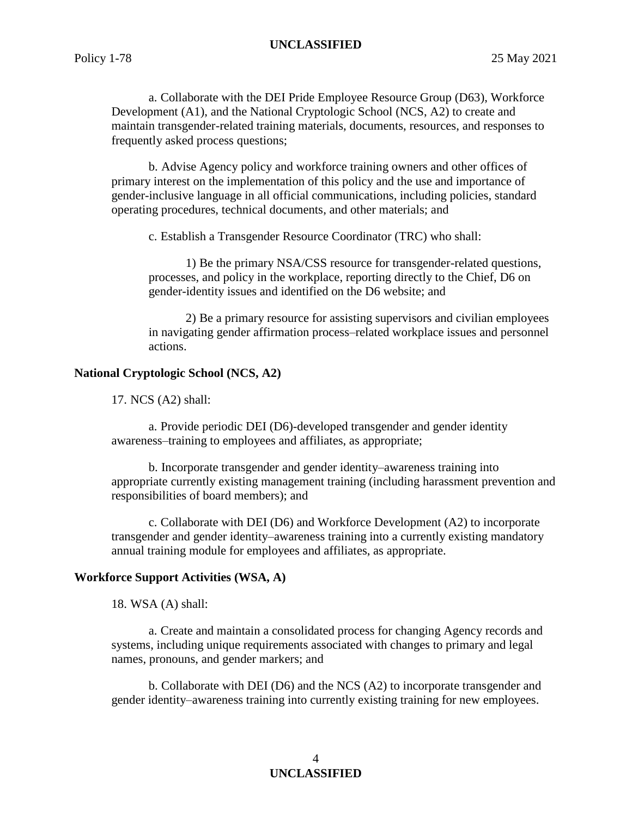a. Collaborate with the DEI Pride Employee Resource Group (D63), Workforce Development (A1), and the National Cryptologic School (NCS, A2) to create and maintain transgender-related training materials, documents, resources, and responses to frequently asked process questions;

b. Advise Agency policy and workforce training owners and other offices of primary interest on the implementation of this policy and the use and importance of gender-inclusive language in all official communications, including policies, standard operating procedures, technical documents, and other materials; and

c. Establish a Transgender Resource Coordinator (TRC) who shall:

1) Be the primary NSA/CSS resource for transgender-related questions, processes, and policy in the workplace, reporting directly to the Chief, D6 on gender-identity issues and identified on the D6 website; and

2) Be a primary resource for assisting supervisors and civilian employees in navigating gender affirmation process–related workplace issues and personnel actions.

#### **National Cryptologic School (NCS, A2)**

17. NCS (A2) shall:

a. Provide periodic DEI (D6)-developed transgender and gender identity awareness–training to employees and affiliates, as appropriate;

b. Incorporate transgender and gender identity–awareness training into appropriate currently existing management training (including harassment prevention and responsibilities of board members); and

c. Collaborate with DEI (D6) and Workforce Development (A2) to incorporate transgender and gender identity–awareness training into a currently existing mandatory annual training module for employees and affiliates, as appropriate.

#### **Workforce Support Activities (WSA, A)**

18. WSA (A) shall:

a. Create and maintain a consolidated process for changing Agency records and systems, including unique requirements associated with changes to primary and legal names, pronouns, and gender markers; and

b. Collaborate with DEI (D6) and the NCS (A2) to incorporate transgender and gender identity–awareness training into currently existing training for new employees.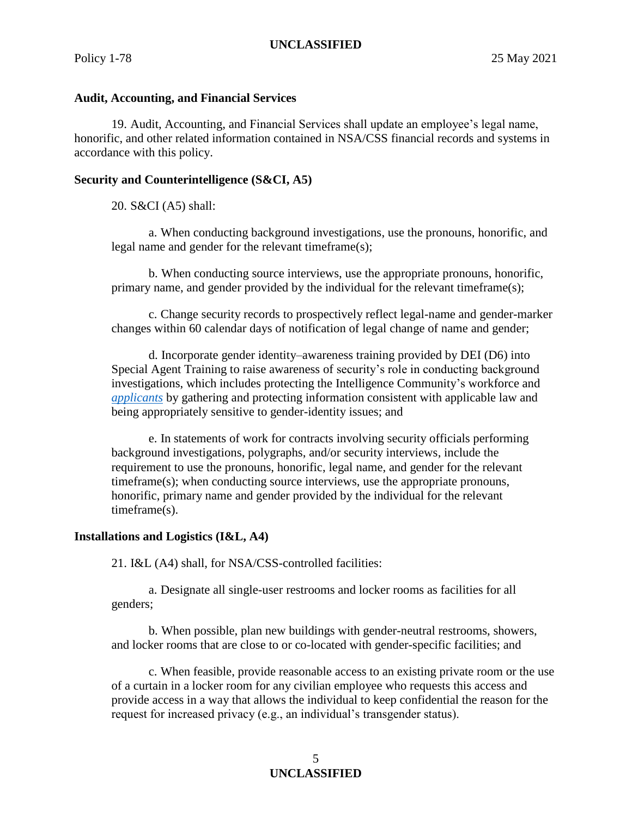#### **Audit, Accounting, and Financial Services**

19. Audit, Accounting, and Financial Services shall update an employee's legal name, honorific, and other related information contained in NSA/CSS financial records and systems in accordance with this policy.

#### **Security and Counterintelligence (S&CI, A5)**

20. S&CI (A5) shall:

a. When conducting background investigations, use the pronouns, honorific, and legal name and gender for the relevant timeframe(s);

b. When conducting source interviews, use the appropriate pronouns, honorific, primary name, and gender provided by the individual for the relevant timeframe(s);

c. Change security records to prospectively reflect legal-name and gender-marker changes within 60 calendar days of notification of legal change of name and gender;

d. Incorporate gender identity–awareness training provided by DEI (D6) into Special Agent Training to raise awareness of security's role in conducting background investigations, which includes protecting the Intelligence Community's workforce and *[applicants](#page-6-9)* by gathering and protecting information consistent with applicable law and being appropriately sensitive to gender-identity issues; and

e. In statements of work for contracts involving security officials performing background investigations, polygraphs, and/or security interviews, include the requirement to use the pronouns, honorific, legal name, and gender for the relevant timeframe(s); when conducting source interviews, use the appropriate pronouns, honorific, primary name and gender provided by the individual for the relevant timeframe(s).

#### **Installations and Logistics (I&L, A4)**

21. I&L (A4) shall, for NSA/CSS-controlled facilities:

a. Designate all single-user restrooms and locker rooms as facilities for all genders;

b. When possible, plan new buildings with gender-neutral restrooms, showers, and locker rooms that are close to or co-located with gender-specific facilities; and

c. When feasible, provide reasonable access to an existing private room or the use of a curtain in a locker room for any civilian employee who requests this access and provide access in a way that allows the individual to keep confidential the reason for the request for increased privacy (e.g., an individual's transgender status).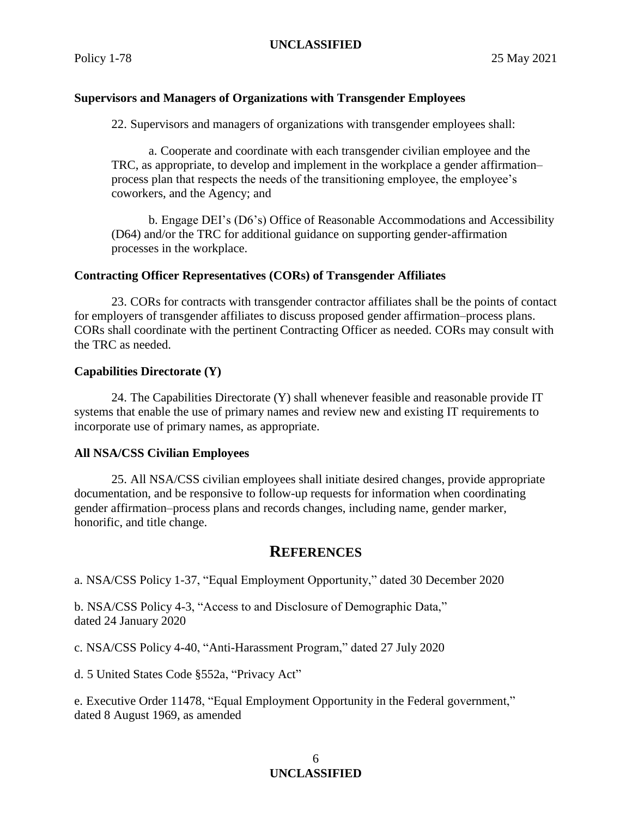## **Supervisors and Managers of Organizations with Transgender Employees**

22. Supervisors and managers of organizations with transgender employees shall:

a. Cooperate and coordinate with each transgender civilian employee and the TRC, as appropriate, to develop and implement in the workplace a gender affirmation– process plan that respects the needs of the transitioning employee, the employee's coworkers, and the Agency; and

b. Engage DEI's (D6's) Office of Reasonable Accommodations and Accessibility (D64) and/or the TRC for additional guidance on supporting gender-affirmation processes in the workplace.

### **Contracting Officer Representatives (CORs) of Transgender Affiliates**

23. CORs for contracts with transgender contractor affiliates shall be the points of contact for employers of transgender affiliates to discuss proposed gender affirmation–process plans. CORs shall coordinate with the pertinent Contracting Officer as needed. CORs may consult with the TRC as needed.

#### **Capabilities Directorate (Y)**

24. The Capabilities Directorate (Y) shall whenever feasible and reasonable provide IT systems that enable the use of primary names and review new and existing IT requirements to incorporate use of primary names, as appropriate.

#### **All NSA/CSS Civilian Employees**

25. All NSA/CSS civilian employees shall initiate desired changes, provide appropriate documentation, and be responsive to follow-up requests for information when coordinating gender affirmation–process plans and records changes, including name, gender marker, honorific, and title change.

## **REFERENCES**

<span id="page-5-0"></span>a. NSA/CSS Policy 1-37, "Equal Employment Opportunity," dated 30 December 2020

<span id="page-5-1"></span>b. NSA/CSS Policy 4-3, "Access to and Disclosure of Demographic Data," dated 24 January 2020

<span id="page-5-2"></span>c. NSA/CSS Policy 4-40, "Anti-Harassment Program," dated 27 July 2020

<span id="page-5-3"></span>d. 5 United States Code §552a, "Privacy Act"

<span id="page-5-4"></span>e. Executive Order 11478, "Equal Employment Opportunity in the Federal government," dated 8 August 1969, as amended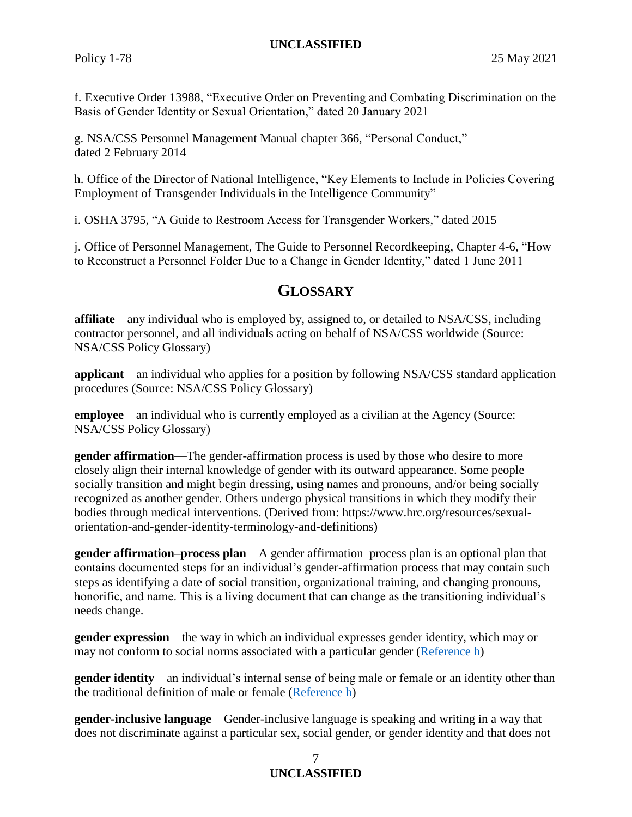<span id="page-6-4"></span>f. Executive Order 13988, "Executive Order on Preventing and Combating Discrimination on the Basis of Gender Identity or Sexual Orientation," dated 20 January 2021

<span id="page-6-5"></span>g. NSA/CSS Personnel Management Manual chapter 366, "Personal Conduct," dated 2 February 2014

<span id="page-6-7"></span>h. Office of the Director of National Intelligence, "Key Elements to Include in Policies Covering Employment of Transgender Individuals in the Intelligence Community"

i. OSHA 3795, "A Guide to Restroom Access for Transgender Workers," dated 2015

<span id="page-6-8"></span>j. Office of Personnel Management, The Guide to Personnel Recordkeeping, Chapter 4-6, "How to Reconstruct a Personnel Folder Due to a Change in Gender Identity," dated 1 June 2011

# **GLOSSARY**

<span id="page-6-3"></span>**affiliate**—any individual who is employed by, assigned to, or detailed to NSA/CSS, including contractor personnel, and all individuals acting on behalf of NSA/CSS worldwide (Source: NSA/CSS Policy Glossary)

<span id="page-6-9"></span>**applicant**—an individual who applies for a position by following NSA/CSS standard application procedures (Source: NSA/CSS Policy Glossary)

<span id="page-6-2"></span>**employee—an** individual who is currently employed as a civilian at the Agency (Source: NSA/CSS Policy Glossary)

<span id="page-6-1"></span>**gender affirmation**—The gender-affirmation process is used by those who desire to more closely align their internal knowledge of gender with its outward appearance. Some people socially transition and might begin dressing, using names and pronouns, and/or being socially recognized as another gender. Others undergo physical transitions in which they modify their bodies through medical interventions. (Derived from: https://www.hrc.org/resources/sexualorientation-and-gender-identity-terminology-and-definitions)

**gender affirmation–process plan**—A gender affirmation–process plan is an optional plan that contains documented steps for an individual's gender-affirmation process that may contain such steps as identifying a date of social transition, organizational training, and changing pronouns, honorific, and name. This is a living document that can change as the transitioning individual's needs change.

**gender expression**—the way in which an individual expresses gender identity, which may or may not conform to social norms associated with a particular gender [\(Reference h\)](#page-6-7)

<span id="page-6-0"></span>**gender identity**—an individual's internal sense of being male or female or an identity other than the traditional definition of male or female [\(Reference h\)](#page-6-7)

<span id="page-6-6"></span>**gender-inclusive language**—Gender-inclusive language is speaking and writing in a way that does not discriminate against a particular sex, social gender, or gender identity and that does not